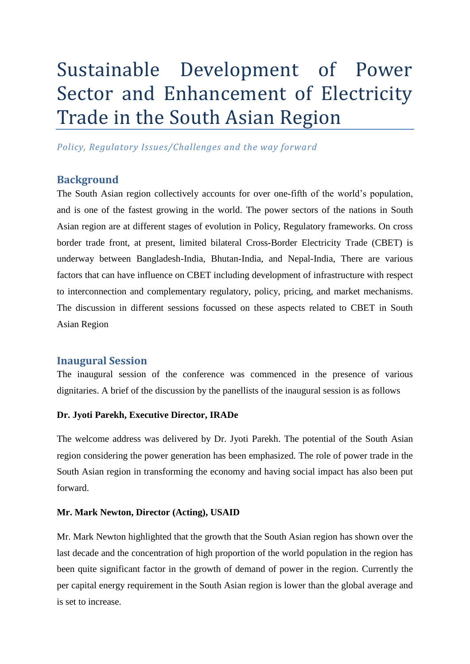# Sustainable Development of Power Sector and Enhancement of Electricity Trade in the South Asian Region

*Policy, Regulatory Issues/Challenges and the way forward*

## **Background**

The South Asian region collectively accounts for over one-fifth of the world's population, and is one of the fastest growing in the world. The power sectors of the nations in South Asian region are at different stages of evolution in Policy, Regulatory frameworks. On cross border trade front, at present, limited bilateral Cross-Border Electricity Trade (CBET) is underway between Bangladesh-India, Bhutan-India, and Nepal-India, There are various factors that can have influence on CBET including development of infrastructure with respect to interconnection and complementary regulatory, policy, pricing, and market mechanisms. The discussion in different sessions focussed on these aspects related to CBET in South Asian Region

## **Inaugural Session**

The inaugural session of the conference was commenced in the presence of various dignitaries. A brief of the discussion by the panellists of the inaugural session is as follows

#### **Dr. Jyoti Parekh, Executive Director, IRADe**

The welcome address was delivered by Dr. Jyoti Parekh. The potential of the South Asian region considering the power generation has been emphasized. The role of power trade in the South Asian region in transforming the economy and having social impact has also been put forward.

#### **Mr. Mark Newton, Director (Acting), USAID**

Mr. Mark Newton highlighted that the growth that the South Asian region has shown over the last decade and the concentration of high proportion of the world population in the region has been quite significant factor in the growth of demand of power in the region. Currently the per capital energy requirement in the South Asian region is lower than the global average and is set to increase.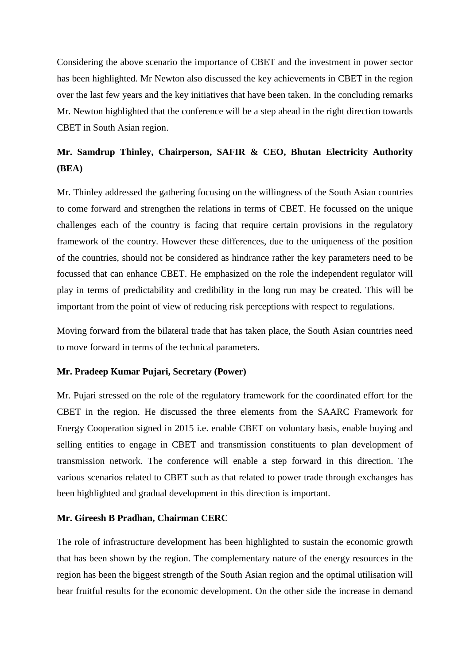Considering the above scenario the importance of CBET and the investment in power sector has been highlighted. Mr Newton also discussed the key achievements in CBET in the region over the last few years and the key initiatives that have been taken. In the concluding remarks Mr. Newton highlighted that the conference will be a step ahead in the right direction towards CBET in South Asian region.

## **Mr. Samdrup Thinley, Chairperson, SAFIR & CEO, Bhutan Electricity Authority (BEA)**

Mr. Thinley addressed the gathering focusing on the willingness of the South Asian countries to come forward and strengthen the relations in terms of CBET. He focussed on the unique challenges each of the country is facing that require certain provisions in the regulatory framework of the country. However these differences, due to the uniqueness of the position of the countries, should not be considered as hindrance rather the key parameters need to be focussed that can enhance CBET. He emphasized on the role the independent regulator will play in terms of predictability and credibility in the long run may be created. This will be important from the point of view of reducing risk perceptions with respect to regulations.

Moving forward from the bilateral trade that has taken place, the South Asian countries need to move forward in terms of the technical parameters.

#### **Mr. Pradeep Kumar Pujari, Secretary (Power)**

Mr. Pujari stressed on the role of the regulatory framework for the coordinated effort for the CBET in the region. He discussed the three elements from the SAARC Framework for Energy Cooperation signed in 2015 i.e. enable CBET on voluntary basis, enable buying and selling entities to engage in CBET and transmission constituents to plan development of transmission network. The conference will enable a step forward in this direction. The various scenarios related to CBET such as that related to power trade through exchanges has been highlighted and gradual development in this direction is important.

#### **Mr. Gireesh B Pradhan, Chairman CERC**

The role of infrastructure development has been highlighted to sustain the economic growth that has been shown by the region. The complementary nature of the energy resources in the region has been the biggest strength of the South Asian region and the optimal utilisation will bear fruitful results for the economic development. On the other side the increase in demand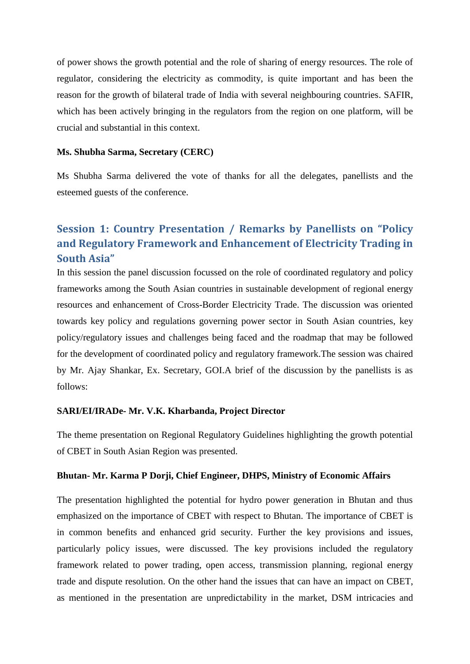of power shows the growth potential and the role of sharing of energy resources. The role of regulator, considering the electricity as commodity, is quite important and has been the reason for the growth of bilateral trade of India with several neighbouring countries. SAFIR, which has been actively bringing in the regulators from the region on one platform, will be crucial and substantial in this context.

#### **Ms. Shubha Sarma, Secretary (CERC)**

Ms Shubha Sarma delivered the vote of thanks for all the delegates, panellists and the esteemed guests of the conference.

# **Session 1: Country Presentation / Remarks by Panellists on "Policy and Regulatory Framework and Enhancement of Electricity Trading in South Asia"**

In this session the panel discussion focussed on the role of coordinated regulatory and policy frameworks among the South Asian countries in sustainable development of regional energy resources and enhancement of Cross-Border Electricity Trade. The discussion was oriented towards key policy and regulations governing power sector in South Asian countries, key policy/regulatory issues and challenges being faced and the roadmap that may be followed for the development of coordinated policy and regulatory framework.The session was chaired by Mr. Ajay Shankar, Ex. Secretary, GOI.A brief of the discussion by the panellists is as follows:

#### **SARI/EI/IRADe- Mr. V.K. Kharbanda, Project Director**

The theme presentation on Regional Regulatory Guidelines highlighting the growth potential of CBET in South Asian Region was presented.

#### **Bhutan- Mr. Karma P Dorji, Chief Engineer, DHPS, Ministry of Economic Affairs**

The presentation highlighted the potential for hydro power generation in Bhutan and thus emphasized on the importance of CBET with respect to Bhutan. The importance of CBET is in common benefits and enhanced grid security. Further the key provisions and issues, particularly policy issues, were discussed. The key provisions included the regulatory framework related to power trading, open access, transmission planning, regional energy trade and dispute resolution. On the other hand the issues that can have an impact on CBET, as mentioned in the presentation are unpredictability in the market, DSM intricacies and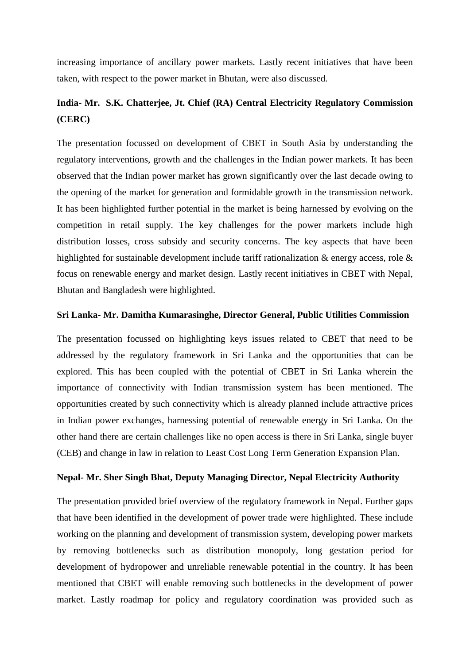increasing importance of ancillary power markets. Lastly recent initiatives that have been taken, with respect to the power market in Bhutan, were also discussed.

## **India- Mr. S.K. Chatterjee, Jt. Chief (RA) Central Electricity Regulatory Commission (CERC)**

The presentation focussed on development of CBET in South Asia by understanding the regulatory interventions, growth and the challenges in the Indian power markets. It has been observed that the Indian power market has grown significantly over the last decade owing to the opening of the market for generation and formidable growth in the transmission network. It has been highlighted further potential in the market is being harnessed by evolving on the competition in retail supply. The key challenges for the power markets include high distribution losses, cross subsidy and security concerns. The key aspects that have been highlighted for sustainable development include tariff rationalization & energy access, role & focus on renewable energy and market design. Lastly recent initiatives in CBET with Nepal, Bhutan and Bangladesh were highlighted.

#### **Sri Lanka- Mr. Damitha Kumarasinghe, Director General, Public Utilities Commission**

The presentation focussed on highlighting keys issues related to CBET that need to be addressed by the regulatory framework in Sri Lanka and the opportunities that can be explored. This has been coupled with the potential of CBET in Sri Lanka wherein the importance of connectivity with Indian transmission system has been mentioned. The opportunities created by such connectivity which is already planned include attractive prices in Indian power exchanges, harnessing potential of renewable energy in Sri Lanka. On the other hand there are certain challenges like no open access is there in Sri Lanka, single buyer (CEB) and change in law in relation to Least Cost Long Term Generation Expansion Plan.

#### **Nepal- Mr. Sher Singh Bhat, Deputy Managing Director, Nepal Electricity Authority**

The presentation provided brief overview of the regulatory framework in Nepal. Further gaps that have been identified in the development of power trade were highlighted. These include working on the planning and development of transmission system, developing power markets by removing bottlenecks such as distribution monopoly, long gestation period for development of hydropower and unreliable renewable potential in the country. It has been mentioned that CBET will enable removing such bottlenecks in the development of power market. Lastly roadmap for policy and regulatory coordination was provided such as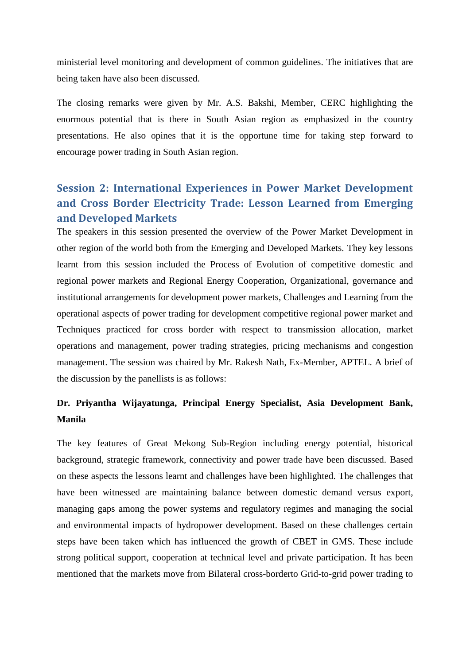ministerial level monitoring and development of common guidelines. The initiatives that are being taken have also been discussed.

The closing remarks were given by Mr. A.S. Bakshi, Member, CERC highlighting the enormous potential that is there in South Asian region as emphasized in the country presentations. He also opines that it is the opportune time for taking step forward to encourage power trading in South Asian region.

# **Session 2: International Experiences in Power Market Development and Cross Border Electricity Trade: Lesson Learned from Emerging and Developed Markets**

The speakers in this session presented the overview of the Power Market Development in other region of the world both from the Emerging and Developed Markets. They key lessons learnt from this session included the Process of Evolution of competitive domestic and regional power markets and Regional Energy Cooperation, Organizational, governance and institutional arrangements for development power markets, Challenges and Learning from the operational aspects of power trading for development competitive regional power market and Techniques practiced for cross border with respect to transmission allocation, market operations and management, power trading strategies, pricing mechanisms and congestion management. The session was chaired by Mr. Rakesh Nath, Ex-Member, APTEL. A brief of the discussion by the panellists is as follows:

## **Dr. Priyantha Wijayatunga, Principal Energy Specialist, Asia Development Bank, Manila**

The key features of Great Mekong Sub-Region including energy potential, historical background, strategic framework, connectivity and power trade have been discussed. Based on these aspects the lessons learnt and challenges have been highlighted. The challenges that have been witnessed are maintaining balance between domestic demand versus export, managing gaps among the power systems and regulatory regimes and managing the social and environmental impacts of hydropower development. Based on these challenges certain steps have been taken which has influenced the growth of CBET in GMS. These include strong political support, cooperation at technical level and private participation. It has been mentioned that the markets move from Bilateral cross-borderto Grid-to-grid power trading to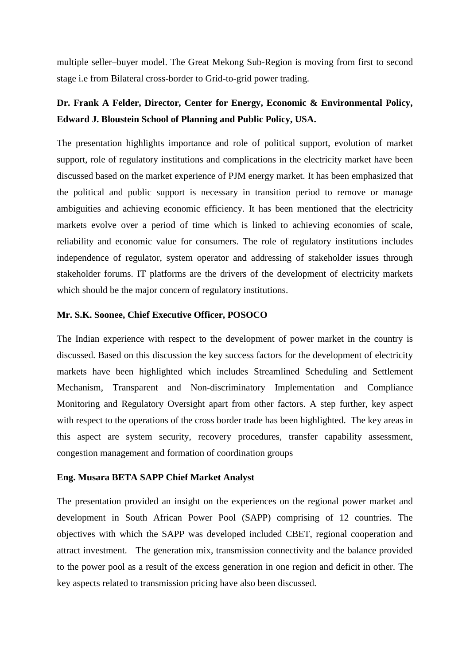multiple seller–buyer model. The Great Mekong Sub-Region is moving from first to second stage i.e from Bilateral cross-border to Grid-to-grid power trading.

## **Dr. Frank A Felder, Director, Center for Energy, Economic & Environmental Policy, Edward J. Bloustein School of Planning and Public Policy, USA.**

The presentation highlights importance and role of political support, evolution of market support, role of regulatory institutions and complications in the electricity market have been discussed based on the market experience of PJM energy market. It has been emphasized that the political and public support is necessary in transition period to remove or manage ambiguities and achieving economic efficiency. It has been mentioned that the electricity markets evolve over a period of time which is linked to achieving economies of scale, reliability and economic value for consumers. The role of regulatory institutions includes independence of regulator, system operator and addressing of stakeholder issues through stakeholder forums. IT platforms are the drivers of the development of electricity markets which should be the major concern of regulatory institutions.

## **Mr. S.K. Soonee, Chief Executive Officer, POSOCO**

The Indian experience with respect to the development of power market in the country is discussed. Based on this discussion the key success factors for the development of electricity markets have been highlighted which includes Streamlined Scheduling and Settlement Mechanism, Transparent and Non-discriminatory Implementation and Compliance Monitoring and Regulatory Oversight apart from other factors. A step further, key aspect with respect to the operations of the cross border trade has been highlighted. The key areas in this aspect are system security, recovery procedures, transfer capability assessment, congestion management and formation of coordination groups

#### **Eng. Musara BETA SAPP Chief Market Analyst**

The presentation provided an insight on the experiences on the regional power market and development in South African Power Pool (SAPP) comprising of 12 countries. The objectives with which the SAPP was developed included CBET, regional cooperation and attract investment. The generation mix, transmission connectivity and the balance provided to the power pool as a result of the excess generation in one region and deficit in other. The key aspects related to transmission pricing have also been discussed.